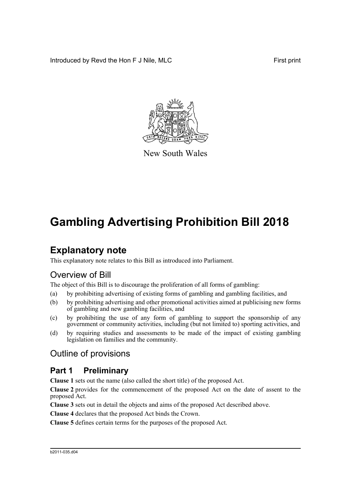Introduced by Revd the Hon F J Nile, MLC First print



New South Wales

# **Gambling Advertising Prohibition Bill 2018**

## **Explanatory note**

This explanatory note relates to this Bill as introduced into Parliament.

## Overview of Bill

The object of this Bill is to discourage the proliferation of all forms of gambling:

- (a) by prohibiting advertising of existing forms of gambling and gambling facilities, and
- (b) by prohibiting advertising and other promotional activities aimed at publicising new forms of gambling and new gambling facilities, and
- (c) by prohibiting the use of any form of gambling to support the sponsorship of any government or community activities, including (but not limited to) sporting activities, and
- (d) by requiring studies and assessments to be made of the impact of existing gambling legislation on families and the community.

## Outline of provisions

## **Part 1 Preliminary**

**Clause 1** sets out the name (also called the short title) of the proposed Act.

**Clause 2** provides for the commencement of the proposed Act on the date of assent to the proposed Act.

**Clause 3** sets out in detail the objects and aims of the proposed Act described above.

**Clause 4** declares that the proposed Act binds the Crown.

**Clause 5** defines certain terms for the purposes of the proposed Act.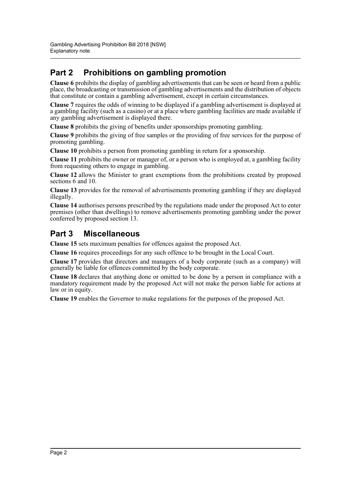## **Part 2 Prohibitions on gambling promotion**

**Clause 6** prohibits the display of gambling advertisements that can be seen or heard from a public place, the broadcasting or transmission of gambling advertisements and the distribution of objects that constitute or contain a gambling advertisement, except in certain circumstances.

**Clause 7** requires the odds of winning to be displayed if a gambling advertisement is displayed at a gambling facility (such as a casino) or at a place where gambling facilities are made available if any gambling advertisement is displayed there.

**Clause 8** prohibits the giving of benefits under sponsorships promoting gambling.

**Clause 9** prohibits the giving of free samples or the providing of free services for the purpose of promoting gambling.

**Clause 10** prohibits a person from promoting gambling in return for a sponsorship.

**Clause 11** prohibits the owner or manager of, or a person who is employed at, a gambling facility from requesting others to engage in gambling.

**Clause 12** allows the Minister to grant exemptions from the prohibitions created by proposed sections 6 and 10.

**Clause 13** provides for the removal of advertisements promoting gambling if they are displayed illegally.

**Clause 14** authorises persons prescribed by the regulations made under the proposed Act to enter premises (other than dwellings) to remove advertisements promoting gambling under the power conferred by proposed section 13.

## **Part 3 Miscellaneous**

**Clause 15** sets maximum penalties for offences against the proposed Act.

**Clause 16** requires proceedings for any such offence to be brought in the Local Court.

**Clause 17** provides that directors and managers of a body corporate (such as a company) will generally be liable for offences committed by the body corporate.

**Clause 18** declares that anything done or omitted to be done by a person in compliance with a mandatory requirement made by the proposed Act will not make the person liable for actions at law or in equity.

**Clause 19** enables the Governor to make regulations for the purposes of the proposed Act.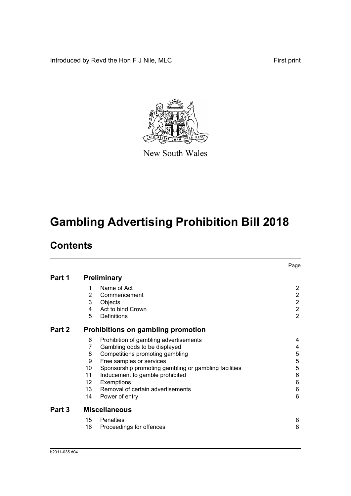Introduced by Revd the Hon F J Nile, MLC First print



New South Wales

# **Gambling Advertising Prohibition Bill 2018**

## **Contents**

|        |                                           |                                                       | Page           |  |  |
|--------|-------------------------------------------|-------------------------------------------------------|----------------|--|--|
| Part 1 | <b>Preliminary</b>                        |                                                       |                |  |  |
|        | 1                                         | Name of Act                                           | 2              |  |  |
|        | $\overline{2}$                            | Commencement                                          | $\overline{c}$ |  |  |
|        | 3                                         | Objects                                               | $\overline{c}$ |  |  |
|        | 4                                         | Act to bind Crown                                     | $\overline{c}$ |  |  |
|        | 5                                         | Definitions                                           | $\overline{2}$ |  |  |
| Part 2 | <b>Prohibitions on gambling promotion</b> |                                                       |                |  |  |
|        | 6                                         | Prohibition of gambling advertisements                | 4              |  |  |
|        | 7                                         | Gambling odds to be displayed                         | 4              |  |  |
|        | 8                                         | Competitions promoting gambling                       | 5              |  |  |
|        | 9                                         | Free samples or services                              | $\mathbf 5$    |  |  |
|        | 10                                        | Sponsorship promoting gambling or gambling facilities | 5              |  |  |
|        | 11                                        | Inducement to gamble prohibited                       | 6              |  |  |
|        | 12                                        | Exemptions                                            | 6              |  |  |
|        | 13 <sup>2</sup>                           | Removal of certain advertisements                     | 6              |  |  |
|        | 14                                        | Power of entry                                        | 6              |  |  |
| Part 3 | <b>Miscellaneous</b>                      |                                                       |                |  |  |
|        | 15                                        | Penalties                                             | 8              |  |  |
|        | 16                                        | Proceedings for offences                              | 8              |  |  |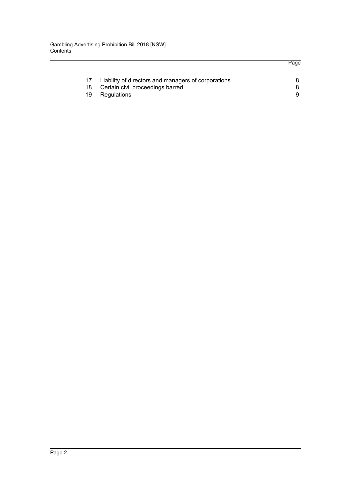|    | Liability of directors and managers of corporations |  |
|----|-----------------------------------------------------|--|
|    | Certain civil proceedings barred                    |  |
| 19 | Regulations                                         |  |
|    |                                                     |  |

Page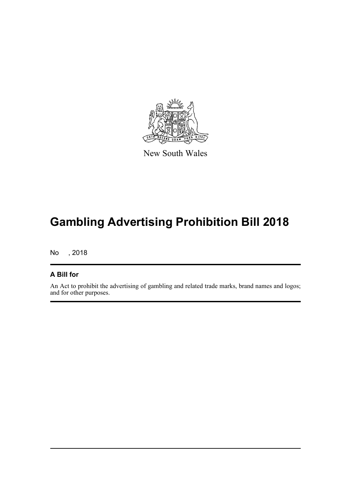

New South Wales

# **Gambling Advertising Prohibition Bill 2018**

No , 2018

### **A Bill for**

An Act to prohibit the advertising of gambling and related trade marks, brand names and logos; and for other purposes.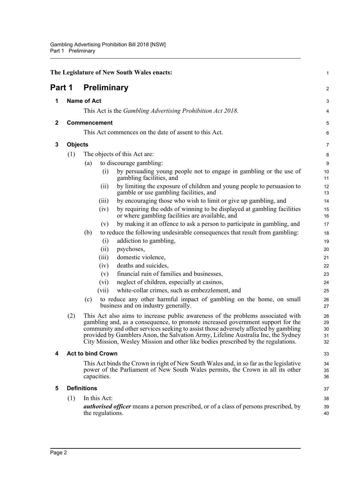<span id="page-5-5"></span><span id="page-5-4"></span><span id="page-5-3"></span><span id="page-5-2"></span><span id="page-5-1"></span><span id="page-5-0"></span>

| The Legislature of New South Wales enacts: |                                                                                                                                                                                         |                              |                          |                                                                                                                                                                                                                                                                                                                                                                                                                                     |                            |  |  |  |
|--------------------------------------------|-----------------------------------------------------------------------------------------------------------------------------------------------------------------------------------------|------------------------------|--------------------------|-------------------------------------------------------------------------------------------------------------------------------------------------------------------------------------------------------------------------------------------------------------------------------------------------------------------------------------------------------------------------------------------------------------------------------------|----------------------------|--|--|--|
| Part 1                                     |                                                                                                                                                                                         |                              | <b>Preliminary</b>       |                                                                                                                                                                                                                                                                                                                                                                                                                                     | 2                          |  |  |  |
| 1                                          | <b>Name of Act</b>                                                                                                                                                                      |                              |                          |                                                                                                                                                                                                                                                                                                                                                                                                                                     | 3                          |  |  |  |
|                                            |                                                                                                                                                                                         |                              |                          | This Act is the Gambling Advertising Prohibition Act 2018.                                                                                                                                                                                                                                                                                                                                                                          | 4                          |  |  |  |
| $\mathbf 2$                                |                                                                                                                                                                                         |                              | Commencement             |                                                                                                                                                                                                                                                                                                                                                                                                                                     | 5                          |  |  |  |
|                                            |                                                                                                                                                                                         |                              |                          | This Act commences on the date of assent to this Act.                                                                                                                                                                                                                                                                                                                                                                               | 6                          |  |  |  |
|                                            |                                                                                                                                                                                         |                              |                          |                                                                                                                                                                                                                                                                                                                                                                                                                                     |                            |  |  |  |
| 3                                          | <b>Objects</b>                                                                                                                                                                          |                              |                          |                                                                                                                                                                                                                                                                                                                                                                                                                                     |                            |  |  |  |
|                                            | (1)                                                                                                                                                                                     | The objects of this Act are: |                          |                                                                                                                                                                                                                                                                                                                                                                                                                                     |                            |  |  |  |
|                                            |                                                                                                                                                                                         | (a)                          |                          | to discourage gambling:                                                                                                                                                                                                                                                                                                                                                                                                             |                            |  |  |  |
|                                            |                                                                                                                                                                                         |                              | (i)                      | by persuading young people not to engage in gambling or the use of<br>gambling facilities, and                                                                                                                                                                                                                                                                                                                                      | 10<br>11                   |  |  |  |
|                                            |                                                                                                                                                                                         |                              | (ii)                     | by limiting the exposure of children and young people to persuasion to<br>gamble or use gambling facilities, and                                                                                                                                                                                                                                                                                                                    | 12<br>13                   |  |  |  |
|                                            |                                                                                                                                                                                         |                              | (iii)                    | by encouraging those who wish to limit or give up gambling, and                                                                                                                                                                                                                                                                                                                                                                     | 14                         |  |  |  |
|                                            |                                                                                                                                                                                         |                              | (iv)                     | by requiring the odds of winning to be displayed at gambling facilities<br>or where gambling facilities are available, and                                                                                                                                                                                                                                                                                                          | 15<br>16                   |  |  |  |
|                                            |                                                                                                                                                                                         |                              | (v)                      | by making it an offence to ask a person to participate in gambling, and                                                                                                                                                                                                                                                                                                                                                             | 17                         |  |  |  |
|                                            |                                                                                                                                                                                         | (b)                          |                          | to reduce the following undesirable consequences that result from gambling:                                                                                                                                                                                                                                                                                                                                                         | 18                         |  |  |  |
|                                            |                                                                                                                                                                                         |                              | (i)                      | addiction to gambling,                                                                                                                                                                                                                                                                                                                                                                                                              | 19                         |  |  |  |
|                                            |                                                                                                                                                                                         |                              | (ii)                     | psychoses,                                                                                                                                                                                                                                                                                                                                                                                                                          | 20                         |  |  |  |
|                                            |                                                                                                                                                                                         |                              | (iii)                    | domestic violence,                                                                                                                                                                                                                                                                                                                                                                                                                  | 21                         |  |  |  |
|                                            |                                                                                                                                                                                         |                              | (iv)                     | deaths and suicides,                                                                                                                                                                                                                                                                                                                                                                                                                | 22                         |  |  |  |
|                                            |                                                                                                                                                                                         |                              | (v)                      | financial ruin of families and businesses,                                                                                                                                                                                                                                                                                                                                                                                          | 23                         |  |  |  |
|                                            |                                                                                                                                                                                         |                              | $(v_i)$                  | neglect of children, especially at casinos,                                                                                                                                                                                                                                                                                                                                                                                         | 24                         |  |  |  |
|                                            |                                                                                                                                                                                         |                              | (vii)                    | white-collar crimes, such as embezzlement, and                                                                                                                                                                                                                                                                                                                                                                                      | 25                         |  |  |  |
|                                            |                                                                                                                                                                                         | (c)                          |                          | to reduce any other harmful impact of gambling on the home, on small<br>business and on industry generally.                                                                                                                                                                                                                                                                                                                         | 26<br>27                   |  |  |  |
|                                            | (2)                                                                                                                                                                                     |                              |                          | This Act also aims to increase public awareness of the problems associated with<br>gambling and, as a consequence, to promote increased government support for the<br>community and other services seeking to assist those adversely affected by gambling<br>provided by Gamblers Anon, the Salvation Army, Lifeline Australia Inc, the Sydney<br>City Mission, Wesley Mission and other like bodies prescribed by the regulations. | 28<br>29<br>30<br>31<br>32 |  |  |  |
| 4                                          |                                                                                                                                                                                         |                              | <b>Act to bind Crown</b> |                                                                                                                                                                                                                                                                                                                                                                                                                                     | 33                         |  |  |  |
|                                            | This Act binds the Crown in right of New South Wales and, in so far as the legislative<br>power of the Parliament of New South Wales permits, the Crown in all its other<br>capacities. |                              |                          |                                                                                                                                                                                                                                                                                                                                                                                                                                     |                            |  |  |  |
| 5                                          | <b>Definitions</b>                                                                                                                                                                      |                              |                          |                                                                                                                                                                                                                                                                                                                                                                                                                                     |                            |  |  |  |
|                                            | In this Act:<br>(1)                                                                                                                                                                     |                              |                          |                                                                                                                                                                                                                                                                                                                                                                                                                                     |                            |  |  |  |
|                                            |                                                                                                                                                                                         |                              | the regulations.         | <b><i>authorised officer</i></b> means a person prescribed, or of a class of persons prescribed, by                                                                                                                                                                                                                                                                                                                                 | 38<br>39<br>40             |  |  |  |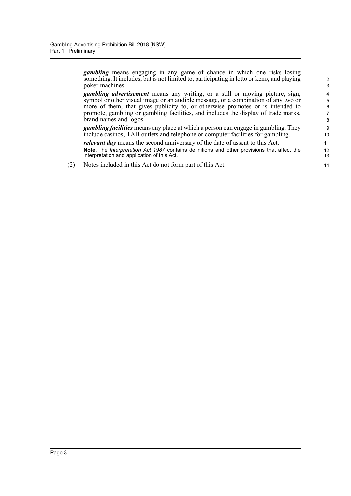*gambling* means engaging in any game of chance in which one risks losing something. It includes, but is not limited to, participating in lotto or keno, and playing poker machines.

*gambling advertisement* means any writing, or a still or moving picture, sign, symbol or other visual image or an audible message, or a combination of any two or more of them, that gives publicity to, or otherwise promotes or is intended to promote, gambling or gambling facilities, and includes the display of trade marks, brand names and logos.

*gambling facilities* means any place at which a person can engage in gambling. They include casinos, TAB outlets and telephone or computer facilities for gambling. *relevant day* means the second anniversary of the date of assent to this Act.

**Note.** The *Interpretation Act 1987* contains definitions and other provisions that affect the interpretation and application of this Act.

(2) Notes included in this Act do not form part of this Act.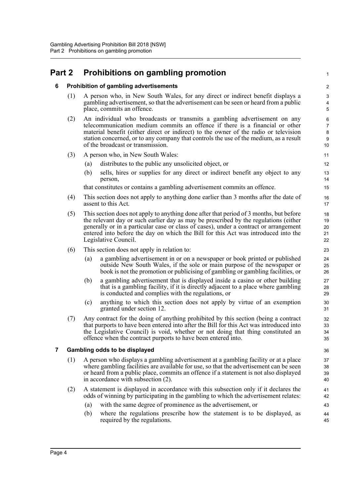## <span id="page-7-1"></span><span id="page-7-0"></span>**Part 2 Prohibitions on gambling promotion**

### **6 Prohibition of gambling advertisements**

(1) A person who, in New South Wales, for any direct or indirect benefit displays a gambling advertisement, so that the advertisement can be seen or heard from a public place, commits an offence.

1

- (2) An individual who broadcasts or transmits a gambling advertisement on any telecommunication medium commits an offence if there is a financial or other material benefit (either direct or indirect) to the owner of the radio or television station concerned, or to any company that controls the use of the medium, as a result of the broadcast or transmission.
- (3) A person who, in New South Wales:
	- (a) distributes to the public any unsolicited object, or
	- (b) sells, hires or supplies for any direct or indirect benefit any object to any person,

that constitutes or contains a gambling advertisement commits an offence.

- (4) This section does not apply to anything done earlier than 3 months after the date of assent to this Act.
- (5) This section does not apply to anything done after that period of 3 months, but before the relevant day or such earlier day as may be prescribed by the regulations (either generally or in a particular case or class of cases), under a contract or arrangement entered into before the day on which the Bill for this Act was introduced into the Legislative Council.
- (6) This section does not apply in relation to:
	- (a) a gambling advertisement in or on a newspaper or book printed or published outside New South Wales, if the sole or main purpose of the newspaper or book is not the promotion or publicising of gambling or gambling facilities, or
	- (b) a gambling advertisement that is displayed inside a casino or other building that is a gambling facility, if it is directly adjacent to a place where gambling is conducted and complies with the regulations, or
	- (c) anything to which this section does not apply by virtue of an exemption granted under section 12.
- (7) Any contract for the doing of anything prohibited by this section (being a contract that purports to have been entered into after the Bill for this Act was introduced into the Legislative Council) is void, whether or not doing that thing constituted an offence when the contract purports to have been entered into.

#### <span id="page-7-2"></span>**7 Gambling odds to be displayed**

- (1) A person who displays a gambling advertisement at a gambling facility or at a place where gambling facilities are available for use, so that the advertisement can be seen or heard from a public place, commits an offence if a statement is not also displayed in accordance with subsection (2).
- (2) A statement is displayed in accordance with this subsection only if it declares the odds of winning by participating in the gambling to which the advertisement relates:
	- (a) with the same degree of prominence as the advertisement, or
	- (b) where the regulations prescribe how the statement is to be displayed, as required by the regulations.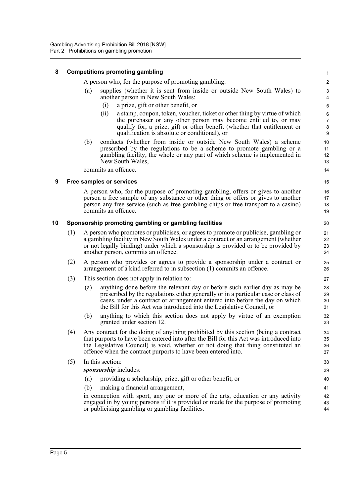#### <span id="page-8-0"></span>**8 Competitions promoting gambling**

A person who, for the purpose of promoting gambling:

- (a) supplies (whether it is sent from inside or outside New South Wales) to another person in New South Wales:
	- (i) a prize, gift or other benefit, or
	- (ii) a stamp, coupon, token, voucher, ticket or other thing by virtue of which the purchaser or any other person may become entitled to, or may qualify for, a prize, gift or other benefit (whether that entitlement or qualification is absolute or conditional), or

(b) conducts (whether from inside or outside New South Wales) a scheme prescribed by the regulations to be a scheme to promote gambling or a gambling facility, the whole or any part of which scheme is implemented in New South Wales,

commits an offence.

#### <span id="page-8-1"></span>**9 Free samples or services**

A person who, for the purpose of promoting gambling, offers or gives to another person a free sample of any substance or other thing or offers or gives to another person any free service (such as free gambling chips or free transport to a casino) commits an offence.

#### <span id="page-8-2"></span>**10 Sponsorship promoting gambling or gambling facilities**

- (1) A person who promotes or publicises, or agrees to promote or publicise, gambling or a gambling facility in New South Wales under a contract or an arrangement (whether or not legally binding) under which a sponsorship is provided or to be provided by another person, commits an offence.
- (2) A person who provides or agrees to provide a sponsorship under a contract or arrangement of a kind referred to in subsection (1) commits an offence.
- (3) This section does not apply in relation to:
	- (a) anything done before the relevant day or before such earlier day as may be prescribed by the regulations either generally or in a particular case or class of cases, under a contract or arrangement entered into before the day on which the Bill for this Act was introduced into the Legislative Council, or
	- (b) anything to which this section does not apply by virtue of an exemption granted under section 12.
- (4) Any contract for the doing of anything prohibited by this section (being a contract that purports to have been entered into after the Bill for this Act was introduced into the Legislative Council) is void, whether or not doing that thing constituted an offence when the contract purports to have been entered into.
- (5) In this section:

*sponsorship* includes:

- (a) providing a scholarship, prize, gift or other benefit, or
- (b) making a financial arrangement,

in connection with sport, any one or more of the arts, education or any activity engaged in by young persons if it is provided or made for the purpose of promoting or publicising gambling or gambling facilities.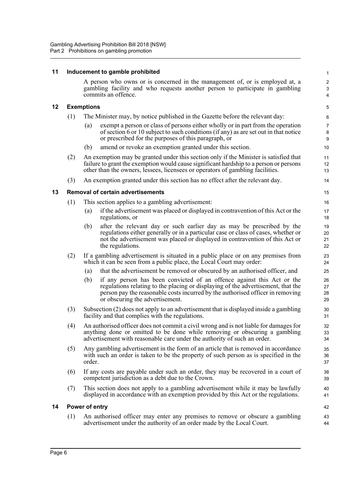<span id="page-9-3"></span><span id="page-9-2"></span><span id="page-9-1"></span><span id="page-9-0"></span>

| 11 |                   | Inducement to gamble prohibited                                                                                                                                                                                                                                                        | $\mathbf{1}$                      |  |  |  |
|----|-------------------|----------------------------------------------------------------------------------------------------------------------------------------------------------------------------------------------------------------------------------------------------------------------------------------|-----------------------------------|--|--|--|
|    |                   | A person who owns or is concerned in the management of, or is employed at, a<br>gambling facility and who requests another person to participate in gambling<br>commits an offence.                                                                                                    | $\overline{\mathbf{c}}$<br>3<br>4 |  |  |  |
| 12 | <b>Exemptions</b> |                                                                                                                                                                                                                                                                                        |                                   |  |  |  |
|    | (1)               | The Minister may, by notice published in the Gazette before the relevant day:                                                                                                                                                                                                          | 6                                 |  |  |  |
|    |                   | exempt a person or class of persons either wholly or in part from the operation<br>(a)<br>of section 6 or 10 subject to such conditions (if any) as are set out in that notice<br>or prescribed for the purposes of this paragraph, or                                                 | $\overline{7}$<br>8<br>9          |  |  |  |
|    |                   | amend or revoke an exemption granted under this section.<br>(b)                                                                                                                                                                                                                        | 10                                |  |  |  |
|    | (2)               | An exemption may be granted under this section only if the Minister is satisfied that<br>failure to grant the exemption would cause significant hardship to a person or persons<br>other than the owners, lessees, licensees or operators of gambling facilities.                      | 11<br>12<br>13                    |  |  |  |
|    | (3)               | An exemption granted under this section has no effect after the relevant day.                                                                                                                                                                                                          | 14                                |  |  |  |
| 13 |                   | <b>Removal of certain advertisements</b>                                                                                                                                                                                                                                               | 15                                |  |  |  |
|    | (1)               | This section applies to a gambling advertisement:                                                                                                                                                                                                                                      | 16                                |  |  |  |
|    |                   | if the advertisement was placed or displayed in contravention of this Act or the<br>(a)<br>regulations, or                                                                                                                                                                             | 17<br>18                          |  |  |  |
|    |                   | after the relevant day or such earlier day as may be prescribed by the<br>(b)<br>regulations either generally or in a particular case or class of cases, whether or<br>not the advertisement was placed or displayed in contravention of this Act or<br>the regulations.               | 19<br>20<br>21<br>22              |  |  |  |
|    | (2)               | If a gambling advertisement is situated in a public place or on any premises from<br>which it can be seen from a public place, the Local Court may order:                                                                                                                              | 23<br>24                          |  |  |  |
|    |                   | that the advertisement be removed or obscured by an authorised officer, and<br>(a)                                                                                                                                                                                                     | 25                                |  |  |  |
|    |                   | if any person has been convicted of an offence against this Act or the<br>(b)<br>regulations relating to the placing or displaying of the advertisement, that the<br>person pay the reasonable costs incurred by the authorised officer in removing<br>or obscuring the advertisement. | 26<br>27<br>28<br>29              |  |  |  |
|    | (3)               | Subsection (2) does not apply to an advertisement that is displayed inside a gambling<br>facility and that complies with the regulations.                                                                                                                                              |                                   |  |  |  |
|    | (4)               | An authorised officer does not commit a civil wrong and is not liable for damages for<br>anything done or omitted to be done while removing or obscuring a gambling<br>advertisement with reasonable care under the authority of such an order.                                        |                                   |  |  |  |
|    | (5)               | Any gambling advertisement in the form of an article that is removed in accordance<br>with such an order is taken to be the property of such person as is specified in the<br>order.                                                                                                   |                                   |  |  |  |
|    | (6)               | If any costs are payable under such an order, they may be recovered in a court of<br>competent jurisdiction as a debt due to the Crown.                                                                                                                                                |                                   |  |  |  |
|    | (7)               | This section does not apply to a gambling advertisement while it may be lawfully<br>displayed in accordance with an exemption provided by this Act or the regulations.                                                                                                                 |                                   |  |  |  |
| 14 | Power of entry    |                                                                                                                                                                                                                                                                                        |                                   |  |  |  |
|    | (1)               | An authorised officer may enter any premises to remove or obscure a gambling<br>advertisement under the authority of an order made by the Local Court.                                                                                                                                 | 43<br>44                          |  |  |  |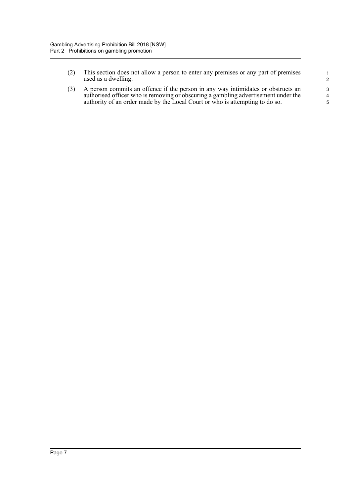(2) This section does not allow a person to enter any premises or any part of premises used as a dwelling.

(3) A person commits an offence if the person in any way intimidates or obstructs an authorised officer who is removing or obscuring a gambling advertisement under the authority of an order made by the Local Court or who is attempting to do so.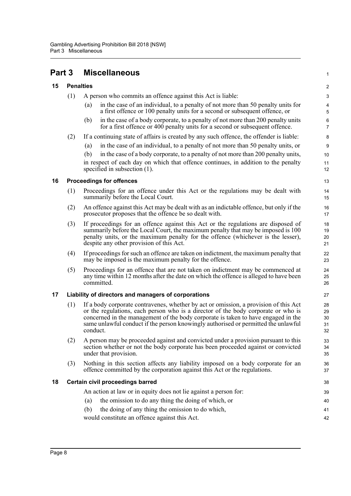#### <span id="page-11-4"></span><span id="page-11-3"></span><span id="page-11-2"></span><span id="page-11-1"></span><span id="page-11-0"></span>**Part 3 Miscellaneous 15 Penalties** (1) A person who commits an offence against this Act is liable: (a) in the case of an individual, to a penalty of not more than 50 penalty units for a first offence or 100 penalty units for a second or subsequent offence, or (b) in the case of a body corporate, to a penalty of not more than 200 penalty units for a first offence or 400 penalty units for a second or subsequent offence. (2) If a continuing state of affairs is created by any such offence, the offender is liable: (a) in the case of an individual, to a penalty of not more than 50 penalty units, or (b) in the case of a body corporate, to a penalty of not more than 200 penalty units, in respect of each day on which that offence continues, in addition to the penalty specified in subsection (1). **16 Proceedings for offences** (1) Proceedings for an offence under this Act or the regulations may be dealt with summarily before the Local Court. (2) An offence against this Act may be dealt with as an indictable offence, but only if the prosecutor proposes that the offence be so dealt with. (3) If proceedings for an offence against this Act or the regulations are disposed of summarily before the Local Court, the maximum penalty that may be imposed is 100 penalty units, or the maximum penalty for the offence (whichever is the lesser), despite any other provision of this Act. (4) If proceedings for such an offence are taken on indictment, the maximum penalty that may be imposed is the maximum penalty for the offence. (5) Proceedings for an offence that are not taken on indictment may be commenced at any time within 12 months after the date on which the offence is alleged to have been committed. **17 Liability of directors and managers of corporations** (1) If a body corporate contravenes, whether by act or omission, a provision of this Act or the regulations, each person who is a director of the body corporate or who is concerned in the management of the body corporate is taken to have engaged in the same unlawful conduct if the person knowingly authorised or permitted the unlawful conduct. (2) A person may be proceeded against and convicted under a provision pursuant to this section whether or not the body corporate has been proceeded against or convicted under that provision. (3) Nothing in this section affects any liability imposed on a body corporate for an offence committed by the corporation against this Act or the regulations. **18 Certain civil proceedings barred** An action at law or in equity does not lie against a person for: (a) the omission to do any thing the doing of which, or (b) the doing of any thing the omission to do which, would constitute an offence against this Act. 1  $\overline{2}$ 3 4 5 6 7 8 9 10 11 12 13 14 15 16 17 18 19  $20$ 21  $22$ 23  $24$ 25 26 27 28 29 30 31 32 33 34 35 36 37 38 39 40 41 42